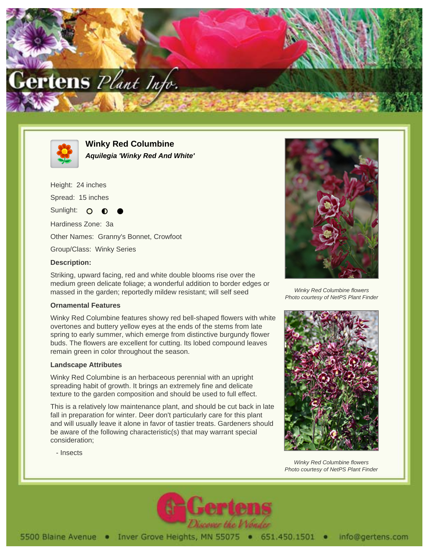



**Winky Red Columbine Aquilegia 'Winky Red And White'**

Height: 24 inches Spread: 15 inches Sunlight: O

Hardiness Zone: 3a Other Names: Granny's Bonnet, Crowfoot

Group/Class: Winky Series

## **Description:**

Striking, upward facing, red and white double blooms rise over the medium green delicate foliage; a wonderful addition to border edges or massed in the garden; reportedly mildew resistant; will self seed

## **Ornamental Features**

Winky Red Columbine features showy red bell-shaped flowers with white overtones and buttery yellow eyes at the ends of the stems from late spring to early summer, which emerge from distinctive burgundy flower buds. The flowers are excellent for cutting. Its lobed compound leaves remain green in color throughout the season.

## **Landscape Attributes**

- Insects

Winky Red Columbine is an herbaceous perennial with an upright spreading habit of growth. It brings an extremely fine and delicate texture to the garden composition and should be used to full effect.

This is a relatively low maintenance plant, and should be cut back in late fall in preparation for winter. Deer don't particularly care for this plant and will usually leave it alone in favor of tastier treats. Gardeners should be aware of the following characteristic(s) that may warrant special consideration;



Winky Red Columbine flowers Photo courtesy of NetPS Plant Finder



Winky Red Columbine flowers Photo courtesy of NetPS Plant Finder